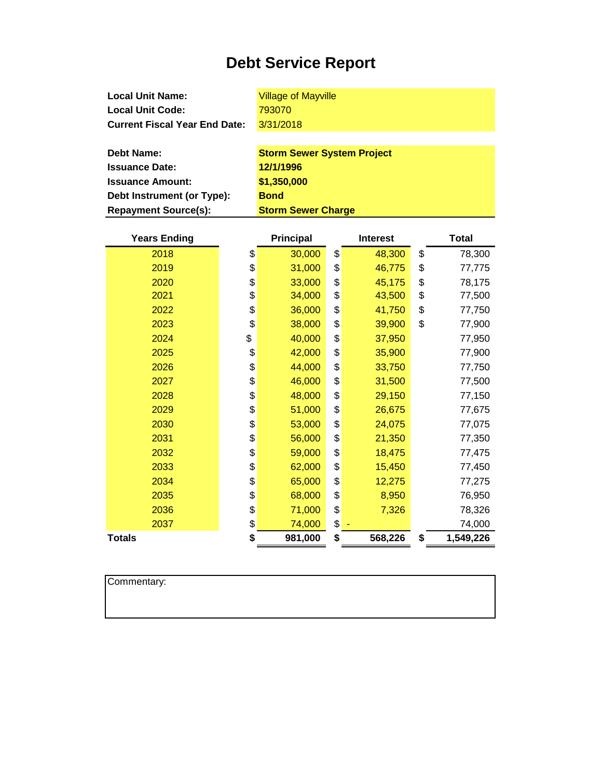| <b>Local Unit Name:</b>              | <b>Village of Mayville</b>        |
|--------------------------------------|-----------------------------------|
| <b>Local Unit Code:</b>              | 793070                            |
| <b>Current Fiscal Year End Date:</b> | 3/31/2018                         |
|                                      |                                   |
| Debt Name:                           | <b>Storm Sewer System Project</b> |
| <b>Issuance Date:</b>                | 12/1/1996                         |

| osuanut Dalt.               | 1 <i>l</i> 11 1990        |
|-----------------------------|---------------------------|
| <b>Issuance Amount:</b>     | \$1,350,000               |
| Debt Instrument (or Type):  | <b>Bond</b>               |
| <b>Repayment Source(s):</b> | <b>Storm Sewer Charge</b> |

| <b>Years Ending</b> | <b>Principal</b> | <b>Interest</b> | <b>Total</b>    |
|---------------------|------------------|-----------------|-----------------|
| 2018                | \$<br>30,000     | \$<br>48,300    | \$<br>78,300    |
| 2019                | \$<br>31,000     | \$<br>46,775    | \$<br>77,775    |
| 2020                | \$<br>33,000     | \$<br>45,175    | \$<br>78,175    |
| 2021                | \$<br>34,000     | \$<br>43,500    | \$<br>77,500    |
| 2022                | \$<br>36,000     | \$<br>41,750    | \$<br>77,750    |
| 2023                | \$<br>38,000     | \$<br>39,900    | \$<br>77,900    |
| 2024                | \$<br>40,000     | \$<br>37,950    | 77,950          |
| 2025                | \$<br>42,000     | \$<br>35,900    | 77,900          |
| 2026                | \$<br>44,000     | \$<br>33,750    | 77,750          |
| 2027                | \$<br>46,000     | \$<br>31,500    | 77,500          |
| 2028                | \$<br>48,000     | \$<br>29,150    | 77,150          |
| 2029                | \$<br>51,000     | \$<br>26,675    | 77,675          |
| 2030                | \$<br>53,000     | \$<br>24,075    | 77,075          |
| 2031                | \$<br>56,000     | \$<br>21,350    | 77,350          |
| 2032                | \$<br>59,000     | \$<br>18,475    | 77,475          |
| 2033                | \$<br>62,000     | \$<br>15,450    | 77,450          |
| 2034                | \$<br>65,000     | \$<br>12,275    | 77,275          |
| 2035                | \$<br>68,000     | \$<br>8,950     | 76,950          |
| 2036                | \$<br>71,000     | \$<br>7,326     | 78,326          |
| 2037                | \$<br>74,000     | \$              | 74,000          |
| <b>Totals</b>       | \$<br>981,000    | \$<br>568,226   | \$<br>1,549,226 |

Commentary: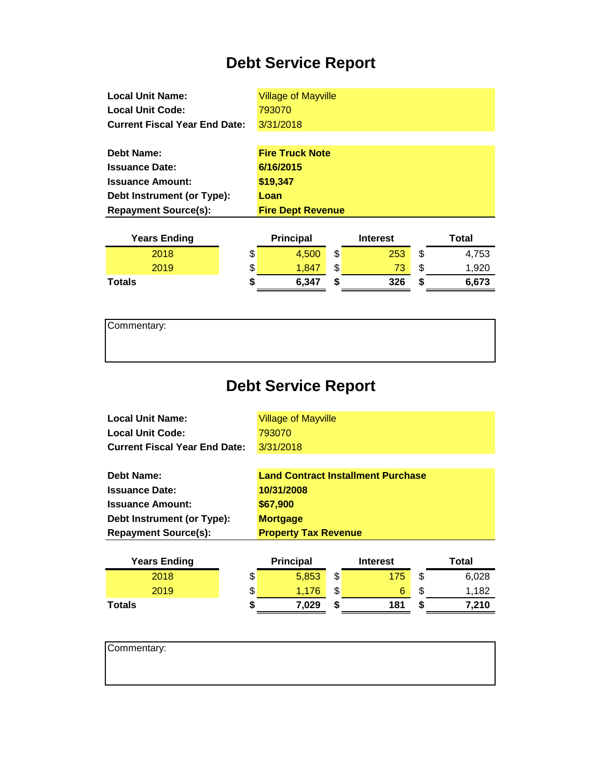| <b>Local Unit Name:</b>              | <b>Village of Mayville</b> |                 |       |
|--------------------------------------|----------------------------|-----------------|-------|
| Local Unit Code:                     | 793070                     |                 |       |
| <b>Current Fiscal Year End Date:</b> | 3/31/2018                  |                 |       |
|                                      |                            |                 |       |
| Debt Name:                           | <b>Fire Truck Note</b>     |                 |       |
| <b>Issuance Date:</b>                | 6/16/2015                  |                 |       |
| <b>Issuance Amount:</b>              | \$19,347                   |                 |       |
| Debt Instrument (or Type):           | Loan                       |                 |       |
| <b>Repayment Source(s):</b>          | <b>Fire Dept Revenue</b>   |                 |       |
|                                      |                            |                 |       |
| <b>Years Ending</b>                  | <b>Principal</b>           | <b>Interest</b> | Total |

| <b>rears</b> Ending | <b>Principal</b> |        | merest |      | ι οται |
|---------------------|------------------|--------|--------|------|--------|
| 2018                | \$<br>4.500      | ጥ<br>J | 253    | ۰D   | 4.753  |
| 2019                | \$<br>1.847      | ሖ<br>J | w      | ۰D   | 1,920  |
| <b>Totals</b>       | 6,347            |        | 326    | - 11 | 6,673  |
|                     |                  |        |        |      |        |

| Commentary: |  |  |  |
|-------------|--|--|--|
|             |  |  |  |
|             |  |  |  |

# **Debt Service Report**

| <b>Local Unit Name:</b>              | <b>Village of Mayville</b> |
|--------------------------------------|----------------------------|
| <b>Local Unit Code:</b>              | 793070                     |
| <b>Current Fiscal Year End Date:</b> | 3/31/2018                  |
|                                      |                            |

| <b>Debt Name:</b>           | <b>Land Contract Installment Purchase</b> |
|-----------------------------|-------------------------------------------|
| <b>Issuance Date:</b>       | 10/31/2008                                |
| <b>Issuance Amount:</b>     | \$67,900                                  |
| Debt Instrument (or Type):  | <b>Mortgage</b>                           |
| <b>Repayment Source(s):</b> | <b>Property Tax Revenue</b>               |
|                             |                                           |

| <b>Years Ending</b> |    | <b>Principal</b> |    | <b>Interest</b> | Total       |
|---------------------|----|------------------|----|-----------------|-------------|
| 2018                | \$ | 5.853            | \$ | 175             | \$<br>6,028 |
| 2019                | \$ | 1.176            | \$ | 6               | \$<br>1.182 |
| Totals              | 5  | 7.029            | S  | 181             | 7.210       |

| Commentary: |  |  |  |
|-------------|--|--|--|
|             |  |  |  |
|             |  |  |  |
|             |  |  |  |
|             |  |  |  |
|             |  |  |  |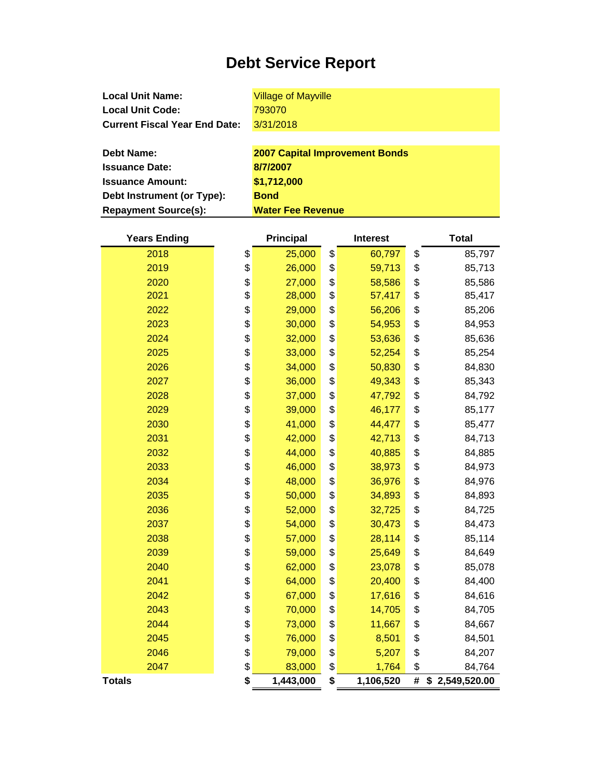**Local Unit Name: Local Unit Code: Current Fiscal Year End Date:** Village of Mayville 3/31/2018

| <b>Debt Name:</b>           | <b>2007 Capital Improvement Bonds</b> |
|-----------------------------|---------------------------------------|
| <b>Issuance Date:</b>       | 8/7/2007                              |
| <b>Issuance Amount:</b>     | \$1,712,000                           |
| Debt Instrument (or Type):  | <b>Bond</b>                           |
| <b>Repayment Source(s):</b> | <b>Water Fee Revenue</b>              |

| <b>Years Ending</b> | Principal |           | <b>Interest</b> |    | <b>Total</b>   |  |
|---------------------|-----------|-----------|-----------------|----|----------------|--|
| 2018                | \$        | 25,000    | \$<br>60,797    | \$ | 85,797         |  |
| 2019                | \$        | 26,000    | \$<br>59,713    | \$ | 85,713         |  |
| 2020                | \$        | 27,000    | \$<br>58,586    | \$ | 85,586         |  |
| 2021                | \$        | 28,000    | \$<br>57,417    | \$ | 85,417         |  |
| 2022                | \$        | 29,000    | \$<br>56,206    | \$ | 85,206         |  |
| 2023                | \$        | 30,000    | \$<br>54,953    | \$ | 84,953         |  |
| 2024                | \$        | 32,000    | \$<br>53,636    | \$ | 85,636         |  |
| 2025                | \$        | 33,000    | \$<br>52,254    | \$ | 85,254         |  |
| 2026                | \$        | 34,000    | \$<br>50,830    | \$ | 84,830         |  |
| 2027                | \$        | 36,000    | \$<br>49,343    | \$ | 85,343         |  |
| 2028                | \$        | 37,000    | \$<br>47,792    | \$ | 84,792         |  |
| 2029                | \$        | 39,000    | \$<br>46,177    | \$ | 85,177         |  |
| 2030                | \$        | 41,000    | \$<br>44,477    | \$ | 85,477         |  |
| 2031                | \$        | 42,000    | \$<br>42,713    | \$ | 84,713         |  |
| 2032                | \$        | 44,000    | \$<br>40,885    | \$ | 84,885         |  |
| 2033                | \$        | 46,000    | \$<br>38,973    | \$ | 84,973         |  |
| 2034                | \$        | 48,000    | \$<br>36,976    | \$ | 84,976         |  |
| 2035                | \$        | 50,000    | \$<br>34,893    | \$ | 84,893         |  |
| 2036                | \$        | 52,000    | \$<br>32,725    | \$ | 84,725         |  |
| 2037                | \$        | 54,000    | \$<br>30,473    | \$ | 84,473         |  |
| 2038                | \$        | 57,000    | \$<br>28,114    | \$ | 85,114         |  |
| 2039                | \$        | 59,000    | \$<br>25,649    | \$ | 84,649         |  |
| 2040                | \$        | 62,000    | \$<br>23,078    | \$ | 85,078         |  |
| 2041                | \$        | 64,000    | \$<br>20,400    | \$ | 84,400         |  |
| 2042                | \$        | 67,000    | \$<br>17,616    | \$ | 84,616         |  |
| 2043                | \$        | 70,000    | \$<br>14,705    | \$ | 84,705         |  |
| 2044                | \$        | 73,000    | \$<br>11,667    | \$ | 84,667         |  |
| 2045                | \$        | 76,000    | \$<br>8,501     | \$ | 84,501         |  |
| 2046                | \$        | 79,000    | \$<br>5,207     | \$ | 84,207         |  |
| 2047                | \$        | 83,000    | \$<br>1,764     | \$ | 84,764         |  |
| <b>Totals</b>       | \$        | 1,443,000 | \$<br>1,106,520 | #  | \$2,549,520.00 |  |